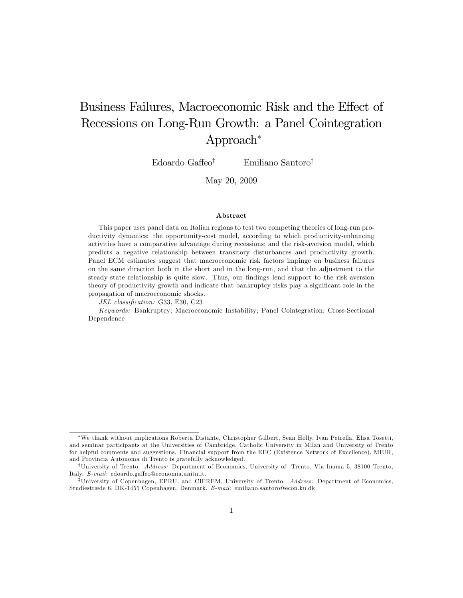# Business Failures, Macroeconomic Risk and the Effect of Recessions on Long-Run Growth: a Panel Cointegration Approach

Edoardo Gaffeo<sup>†</sup> Emiliano Santoro<sup>‡</sup>

May 20, 2009

#### Abstract

This paper uses panel data on Italian regions to test two competing theories of long-run productivity dynamics: the opportunity-cost model, according to which productivity-enhancing activities have a comparative advantage during recessions; and the risk-aversion model, which predicts a negative relationship between transitory disturbances and productivity growth. Panel ECM estimates suggest that macroeconomic risk factors impinge on business failures on the same direction both in the short and in the long-run, and that the adjustment to the steady-state relationship is quite slow. Thus, our findings lend support to the risk-aversion theory of productivity growth and indicate that bankruptcy risks play a significant role in the propagation of macroeconomic shocks.

JEL classification: G33, E30, C23

Keywords: Bankruptcy; Macroeconomic Instability; Panel Cointegration; Cross-Sectional Dependence

We thank without implications Roberta Distante, Christopher Gilbert, Sean Holly, Ivan Petrella, Elisa Tosetti, and seminar participants at the Universities of Cambridge, Catholic University in Milan and University of Trento for helpful comments and suggestions. Financial support from the EEC (Existence Network of Excellence), MIUR, and Provincia Autonoma di Trento is gratefully acknowledged.

University of Trento. Address: Department of Economics, University of Trento, Via Inama 5, 38100 Trento, Italy. E-mail: edoardo.gaffeo@economia.unitn.it.

<sup>&</sup>lt;sup>‡</sup>University of Copenhagen, EPRU, and CIFREM, University of Trento. Address: Department of Economics, Studiestræde 6, DK-1455 Copenhagen, Denmark. E-mail: emiliano.santoro@econ.ku.dk.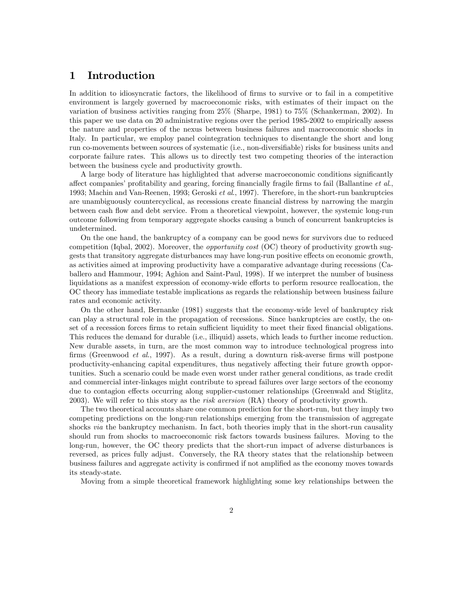### 1 Introduction

In addition to idiosyncratic factors, the likelihood of firms to survive or to fail in a competitive environment is largely governed by macroeconomic risks, with estimates of their impact on the variation of business activities ranging from 25% (Sharpe, 1981) to 75% (Schankerman, 2002). In this paper we use data on 20 administrative regions over the period 1985-2002 to empirically assess the nature and properties of the nexus between business failures and macroeconomic shocks in Italy. In particular, we employ panel cointegration techniques to disentangle the short and long run co-movements between sources of systematic (i.e., non-diversifiable) risks for business units and corporate failure rates. This allows us to directly test two competing theories of the interaction between the business cycle and productivity growth.

A large body of literature has highlighted that adverse macroeconomic conditions significantly affect companies' profitability and gearing, forcing financially fragile firms to fail (Ballantine et al., 1993; Machin and Van-Reenen, 1993; Geroski et al., 1997). Therefore, in the short-run bankruptcies are unambiguously countercyclical, as recessions create financial distress by narrowing the margin between cash flow and debt service. From a theoretical viewpoint, however, the systemic long-run outcome following from temporary aggregate shocks causing a bunch of concurrent bankruptcies is undetermined.

On the one hand, the bankruptcy of a company can be good news for survivors due to reduced competition (Iqbal, 2002). Moreover, the *opportunity cost* (OC) theory of productivity growth suggests that transitory aggregate disturbances may have long-run positive effects on economic growth, as activities aimed at improving productivity have a comparative advantage during recessions (Caballero and Hammour, 1994; Aghion and Saint-Paul, 1998). If we interpret the number of business liquidations as a manifest expression of economy-wide efforts to perform resource reallocation, the OC theory has immediate testable implications as regards the relationship between business failure rates and economic activity.

On the other hand, Bernanke (1981) suggests that the economy-wide level of bankruptcy risk can play a structural role in the propagation of recessions. Since bankruptcies are costly, the onset of a recession forces firms to retain sufficient liquidity to meet their fixed financial obligations. This reduces the demand for durable (i.e., illiquid) assets, which leads to further income reduction. New durable assets, in turn, are the most common way to introduce technological progress into firms (Greenwood *et al.*, 1997). As a result, during a downturn risk-averse firms will postpone productivity-enhancing capital expenditures, thus negatively affecting their future growth opportunities. Such a scenario could be made even worst under rather general conditions, as trade credit and commercial inter-linkages might contribute to spread failures over large sectors of the economy due to contagion effects occurring along supplier-customer relationships (Greenwald and Stiglitz, 2003). We will refer to this story as the *risk aversion*  $(RA)$  theory of productivity growth.

The two theoretical accounts share one common prediction for the short-run, but they imply two competing predictions on the long-run relationships emerging from the transmission of aggregate shocks via the bankruptcy mechanism. In fact, both theories imply that in the short-run causality should run from shocks to macroeconomic risk factors towards business failures. Moving to the long-run, however, the OC theory predicts that the short-run impact of adverse disturbances is reversed, as prices fully adjust. Conversely, the RA theory states that the relationship between business failures and aggregate activity is confirmed if not amplified as the economy moves towards its steady-state.

Moving from a simple theoretical framework highlighting some key relationships between the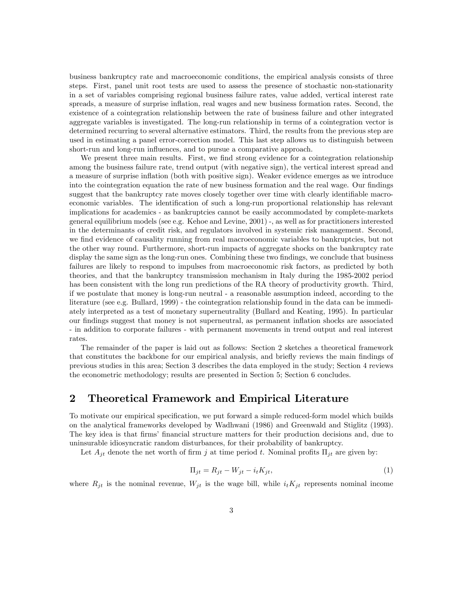business bankruptcy rate and macroeconomic conditions, the empirical analysis consists of three steps. First, panel unit root tests are used to assess the presence of stochastic non-stationarity in a set of variables comprising regional business failure rates, value added, vertical interest rate spreads, a measure of surprise inflation, real wages and new business formation rates. Second, the existence of a cointegration relationship between the rate of business failure and other integrated aggregate variables is investigated. The long-run relationship in terms of a cointegration vector is determined recurring to several alternative estimators. Third, the results from the previous step are used in estimating a panel error-correction model. This last step allows us to distinguish between short-run and long-run influences, and to pursue a comparative approach.

We present three main results. First, we find strong evidence for a cointegration relationship among the business failure rate, trend output (with negative sign), the vertical interest spread and a measure of surprise inflation (both with positive sign). Weaker evidence emerges as we introduce into the cointegration equation the rate of new business formation and the real wage. Our findings suggest that the bankruptcy rate moves closely together over time with clearly identifiable macroeconomic variables. The identification of such a long-run proportional relationship has relevant implications for academics - as bankruptcies cannot be easily accommodated by complete-markets general equilibrium models (see e.g. Kehoe and Levine, 2001) -, as well as for practitioners interested in the determinants of credit risk, and regulators involved in systemic risk management. Second, we find evidence of causality running from real macroeconomic variables to bankruptcies, but not the other way round. Furthermore, short-run impacts of aggregate shocks on the bankruptcy rate display the same sign as the long-run ones. Combining these two findings, we conclude that business failures are likely to respond to impulses from macroeconomic risk factors, as predicted by both theories, and that the bankruptcy transmission mechanism in Italy during the 1985-2002 period has been consistent with the long run predictions of the RA theory of productivity growth. Third, if we postulate that money is long-run neutral - a reasonable assumption indeed, according to the literature (see e.g. Bullard, 1999) - the cointegration relationship found in the data can be immediately interpreted as a test of monetary superneutrality (Bullard and Keating, 1995). In particular our Öndings suggest that money is not superneutral, as permanent ináation shocks are associated - in addition to corporate failures - with permanent movements in trend output and real interest rates.

The remainder of the paper is laid out as follows: Section 2 sketches a theoretical framework that constitutes the backbone for our empirical analysis, and briefly reviews the main findings of previous studies in this area; Section 3 describes the data employed in the study; Section 4 reviews the econometric methodology; results are presented in Section 5; Section 6 concludes.

## 2 Theoretical Framework and Empirical Literature

To motivate our empirical specification, we put forward a simple reduced-form model which builds on the analytical frameworks developed by Wadhwani (1986) and Greenwald and Stiglitz (1993). The key idea is that firms' financial structure matters for their production decisions and, due to uninsurable idiosyncratic random disturbances, for their probability of bankruptcy.

Let  $A_{jt}$  denote the net worth of firm j at time period t. Nominal profits  $\Pi_{jt}$  are given by:

$$
\Pi_{jt} = R_{jt} - W_{jt} - i_t K_{jt},\tag{1}
$$

where  $R_{jt}$  is the nominal revenue,  $W_{jt}$  is the wage bill, while  $i_tK_{jt}$  represents nominal income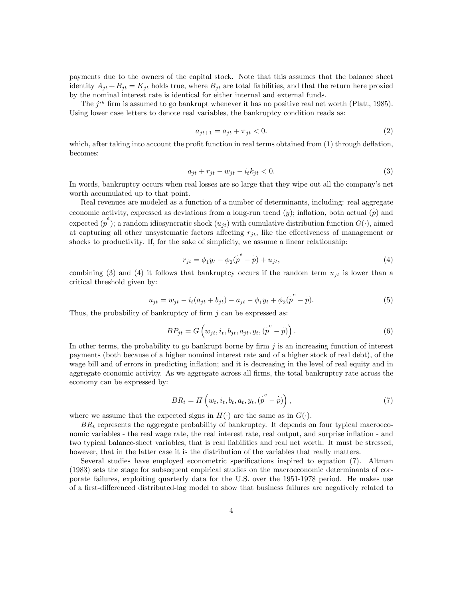payments due to the owners of the capital stock. Note that this assumes that the balance sheet identity  $A_{jt} + B_{jt} = K_{jt}$  holds true, where  $B_{jt}$  are total liabilities, and that the return here proxied by the nominal interest rate is identical for either internal and external funds.

The  $j<sup>th</sup>$  firm is assumed to go bankrupt whenever it has no positive real net worth (Platt, 1985). Using lower case letters to denote real variables, the bankruptcy condition reads as:

$$
a_{jt+1} = a_{jt} + \pi_{jt} < 0. \tag{2}
$$

which, after taking into account the profit function in real terms obtained from  $(1)$  through deflation, becomes:

$$
a_{jt} + r_{jt} - w_{jt} - i_t k_{jt} < 0. \tag{3}
$$

In words, bankruptcy occurs when real losses are so large that they wipe out all the company's net worth accumulated up to that point.

Real revenues are modeled as a function of a number of determinants, including: real aggregate economic activity, expressed as deviations from a long-run trend  $(y)$ ; inflation, both actual  $(p)$  and expected  $(p^e)$ ; a random idiosyncratic shock  $(u_{jt})$  with cumulative distribution function  $G(\cdot)$ , aimed at capturing all other unsystematic factors affecting  $r_{jt}$ , like the effectiveness of management or shocks to productivity. If, for the sake of simplicity, we assume a linear relationship:

$$
r_{jt} = \phi_1 y_t - \phi_2 (p^e - p) + u_{jt},
$$
\n(4)

combining (3) and (4) it follows that bankruptcy occurs if the random term  $u_{it}$  is lower than a critical threshold given by:

$$
\overline{u}_{jt} = w_{jt} - i_t(a_{jt} + b_{jt}) - a_{jt} - \phi_1 y_t + \phi_2(\stackrel{\cdot}{p} - \stackrel{\cdot}{p}).\tag{5}
$$

Thus, the probability of bankruptcy of firm  $j$  can be expressed as:

$$
BP_{jt} = G\left(w_{jt}, i_t, b_{jt}, a_{jt}, y_t, \left(p^e - p\right)\right). \tag{6}
$$

In other terms, the probability to go bankrupt borne by firm  $j$  is an increasing function of interest payments (both because of a higher nominal interest rate and of a higher stock of real debt), of the wage bill and of errors in predicting inflation; and it is decreasing in the level of real equity and in aggregate economic activity. As we aggregate across all firms, the total bankruptcy rate across the economy can be expressed by:

$$
BR_t = H\left(w_t, i_t, b_t, a_t, y_t, \left(p^e - p\right)\right),\tag{7}
$$

where we assume that the expected signs in  $H(\cdot)$  are the same as in  $G(\cdot)$ .

 $BR_t$  represents the aggregate probability of bankruptcy. It depends on four typical macroeconomic variables - the real wage rate, the real interest rate, real output, and surprise inflation - and two typical balance-sheet variables, that is real liabilities and real net worth. It must be stressed, however, that in the latter case it is the distribution of the variables that really matters.

Several studies have employed econometric specifications inspired to equation (7). Altman (1983) sets the stage for subsequent empirical studies on the macroeconomic determinants of corporate failures, exploiting quarterly data for the U.S. over the 1951-1978 period. He makes use of a first-differenced distributed-lag model to show that business failures are negatively related to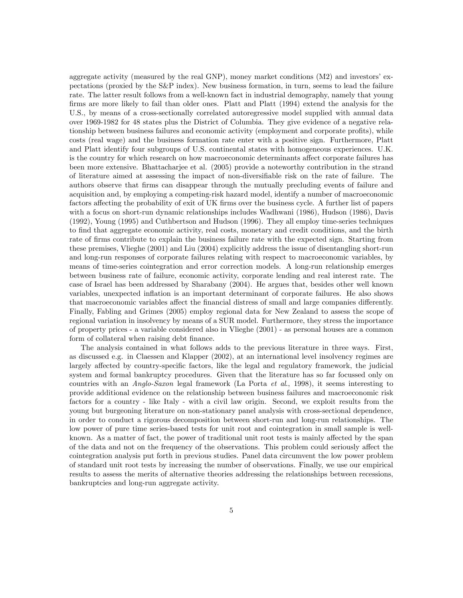aggregate activity (measured by the real GNP), money market conditions  $(M2)$  and investors' expectations (proxied by the S&P index). New business formation, in turn, seems to lead the failure rate. The latter result follows from a well-known fact in industrial demography, namely that young firms are more likely to fail than older ones. Platt and Platt (1994) extend the analysis for the U.S., by means of a cross-sectionally correlated autoregressive model supplied with annual data over 1969-1982 for 48 states plus the District of Columbia. They give evidence of a negative relationship between business failures and economic activity (employment and corporate profits), while costs (real wage) and the business formation rate enter with a positive sign. Furthermore, Platt and Platt identify four subgroups of U.S. continental states with homogeneous experiences. U.K. is the country for which research on how macroeconomic determinants affect corporate failures has been more extensive. Bhattacharjee et al. (2005) provide a noteworthy contribution in the strand of literature aimed at assessing the impact of non-diversifiable risk on the rate of failure. The authors observe that Örms can disappear through the mutually precluding events of failure and acquisition and, by employing a competing-risk hazard model, identify a number of macroeconomic factors affecting the probability of exit of UK firms over the business cycle. A further list of papers with a focus on short-run dynamic relationships includes Wadhwani (1986), Hudson (1986), Davis (1992), Young (1995) and Cuthbertson and Hudson (1996). They all employ time-series techniques to Önd that aggregate economic activity, real costs, monetary and credit conditions, and the birth rate of firms contribute to explain the business failure rate with the expected sign. Starting from these premises, Vlieghe (2001) and Liu (2004) explicitly address the issue of disentangling short-run and long-run responses of corporate failures relating with respect to macroeconomic variables, by means of time-series cointegration and error correction models. A long-run relationship emerges between business rate of failure, economic activity, corporate lending and real interest rate. The case of Israel has been addressed by Sharabany (2004). He argues that, besides other well known variables, unexpected ináation is an important determinant of corporate failures. He also shows that macroeconomic variables affect the financial distress of small and large companies differently. Finally, Fabling and Grimes (2005) employ regional data for New Zealand to assess the scope of regional variation in insolvency by means of a SUR model. Furthermore, they stress the importance of property prices - a variable considered also in Vlieghe (2001) - as personal houses are a common form of collateral when raising debt finance.

The analysis contained in what follows adds to the previous literature in three ways. First, as discussed e.g. in Claessen and Klapper (2002), at an international level insolvency regimes are largely affected by country-specific factors, like the legal and regulatory framework, the judicial system and formal bankruptcy procedures. Given that the literature has so far focussed only on countries with an Anglo-Saxon legal framework (La Porta et al., 1998), it seems interesting to provide additional evidence on the relationship between business failures and macroeconomic risk factors for a country - like Italy - with a civil law origin. Second, we exploit results from the young but burgeoning literature on non-stationary panel analysis with cross-sectional dependence, in order to conduct a rigorous decomposition between short-run and long-run relationships. The low power of pure time series-based tests for unit root and cointegration in small sample is wellknown. As a matter of fact, the power of traditional unit root tests is mainly affected by the span of the data and not on the frequency of the observations. This problem could seriously affect the cointegration analysis put forth in previous studies. Panel data circumvent the low power problem of standard unit root tests by increasing the number of observations. Finally, we use our empirical results to assess the merits of alternative theories addressing the relationships between recessions, bankruptcies and long-run aggregate activity.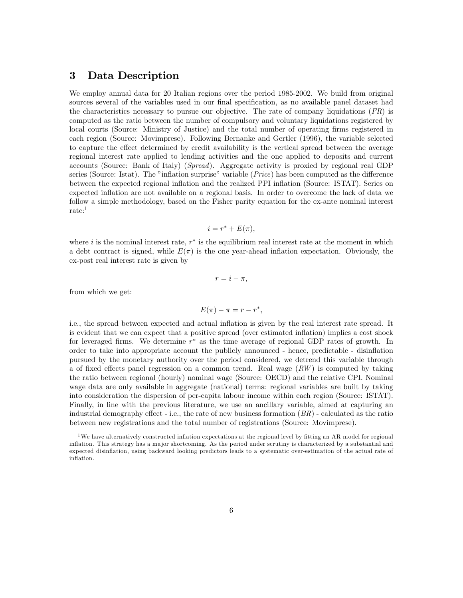### 3 Data Description

We employ annual data for 20 Italian regions over the period 1985-2002. We build from original sources several of the variables used in our final specification, as no available panel dataset had the characteristics necessary to pursue our objective. The rate of company liquidations  $(FR)$  is computed as the ratio between the number of compulsory and voluntary liquidations registered by local courts (Source: Ministry of Justice) and the total number of operating firms registered in each region (Source: Movimprese). Following Bernanke and Gertler (1996), the variable selected to capture the effect determined by credit availability is the vertical spread between the average regional interest rate applied to lending activities and the one applied to deposits and current accounts (Source: Bank of Italy) (Spread). Aggregate activity is proxied by regional real GDP series (Source: Istat). The "inflation surprise" variable  $(Price)$  has been computed as the difference between the expected regional inflation and the realized PPI inflation (Source: ISTAT). Series on expected inflation are not available on a regional basis. In order to overcome the lack of data we follow a simple methodology, based on the Fisher parity equation for the ex-ante nominal interest rate:<sup>1</sup>

$$
i = r^* + E(\pi),
$$

where  $i$  is the nominal interest rate,  $r^*$  is the equilibrium real interest rate at the moment in which a debt contract is signed, while  $E(\pi)$  is the one year-ahead inflation expectation. Obviously, the ex-post real interest rate is given by

$$
r=i-\pi,
$$

from which we get:

$$
E(\pi) - \pi = r - r^*,
$$

i.e., the spread between expected and actual inflation is given by the real interest rate spread. It is evident that we can expect that a positive spread (over estimated inflation) implies a cost shock for leveraged firms. We determine  $r^*$  as the time average of regional GDP rates of growth. In order to take into appropriate account the publicly announced - hence, predictable - disinflation pursued by the monetary authority over the period considered, we detrend this variable through a of fixed effects panel regression on a common trend. Real wage  $(RW)$  is computed by taking the ratio between regional (hourly) nominal wage (Source: OECD) and the relative CPI. Nominal wage data are only available in aggregate (national) terms: regional variables are built by taking into consideration the dispersion of per-capita labour income within each region (Source: ISTAT). Finally, in line with the previous literature, we use an ancillary variable, aimed at capturing an industrial demography effect - i.e., the rate of new business formation  $(BR)$  - calculated as the ratio between new registrations and the total number of registrations (Source: Movimprese).

<sup>&</sup>lt;sup>1</sup>We have alternatively constructed inflation expectations at the regional level by fitting an AR model for regional inflation. This strategy has a major shortcoming. As the period under scrutiny is characterized by a substantial and expected disinflation, using backward looking predictors leads to a systematic over-estimation of the actual rate of inflation.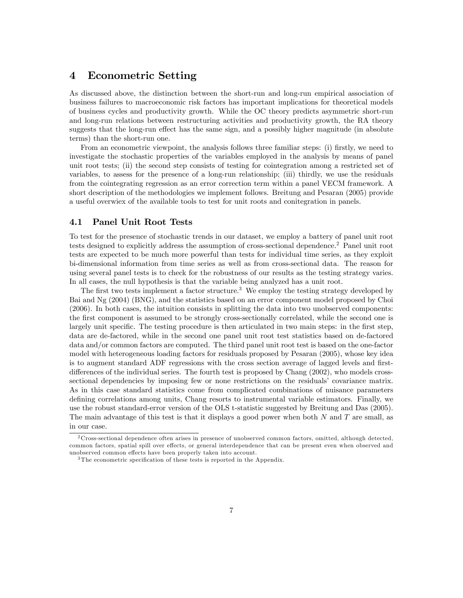### 4 Econometric Setting

As discussed above, the distinction between the short-run and long-run empirical association of business failures to macroeconomic risk factors has important implications for theoretical models of business cycles and productivity growth. While the OC theory predicts asymmetric short-run and long-run relations between restructuring activities and productivity growth, the RA theory suggests that the long-run effect has the same sign, and a possibly higher magnitude (in absolute terms) than the short-run one.

From an econometric viewpoint, the analysis follows three familiar steps: (i) firstly, we need to investigate the stochastic properties of the variables employed in the analysis by means of panel unit root tests; (ii) the second step consists of testing for cointegration among a restricted set of variables, to assess for the presence of a long-run relationship; (iii) thirdly, we use the residuals from the cointegrating regression as an error correction term within a panel VECM framework. A short description of the methodologies we implement follows. Breitung and Pesaran (2005) provide a useful overwiex of the available tools to test for unit roots and conitegration in panels.

#### 4.1 Panel Unit Root Tests

To test for the presence of stochastic trends in our dataset, we employ a battery of panel unit root tests designed to explicitly address the assumption of cross-sectional dependence.<sup>2</sup> Panel unit root tests are expected to be much more powerful than tests for individual time series, as they exploit bi-dimensional information from time series as well as from cross-sectional data. The reason for using several panel tests is to check for the robustness of our results as the testing strategy varies. In all cases, the null hypothesis is that the variable being analyzed has a unit root.

The first two tests implement a factor structure.<sup>3</sup> We employ the testing strategy developed by Bai and Ng (2004) (BNG), and the statistics based on an error component model proposed by Choi (2006). In both cases, the intuition consists in splitting the data into two unobserved components: the first component is assumed to be strongly cross-sectionally correlated, while the second one is largely unit specific. The testing procedure is then articulated in two main steps: in the first step, data are de-factored, while in the second one panel unit root test statistics based on de-factored data and/or common factors are computed. The third panel unit root test is based on the one-factor model with heterogeneous loading factors for residuals proposed by Pesaran (2005), whose key idea is to augment standard ADF regressions with the cross section average of lagged levels and firstdifferences of the individual series. The fourth test is proposed by Chang  $(2002)$ , who models crosssectional dependencies by imposing few or none restrictions on the residuals' covariance matrix. As in this case standard statistics come from complicated combinations of nuisance parameters defining correlations among units, Chang resorts to instrumental variable estimators. Finally, we use the robust standard-error version of the OLS t-statistic suggested by Breitung and Das (2005). The main advantage of this test is that it displays a good power when both  $N$  and  $T$  are small, as in our case.

<sup>2</sup> Cross-sectional dependence often arises in presence of unobserved common factors, omitted, although detected, common factors, spatial spill over effects, or general interdependence that can be present even when observed and unobserved common effects have been properly taken into account.

<sup>&</sup>lt;sup>3</sup>The econometric specification of these tests is reported in the Appendix.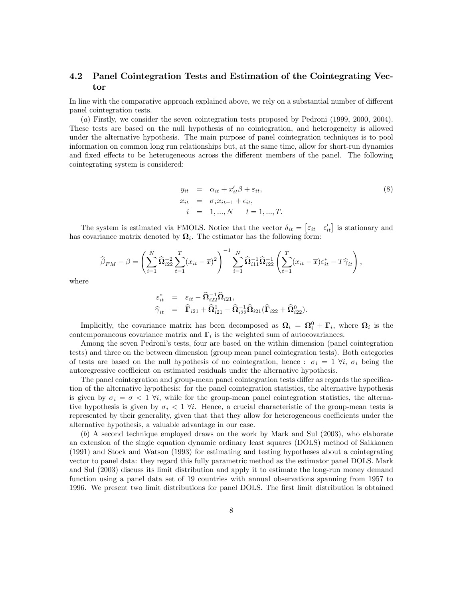### 4.2 Panel Cointegration Tests and Estimation of the Cointegrating Vector

In line with the comparative approach explained above, we rely on a substantial number of different panel cointegration tests.

(a) Firstly, we consider the seven cointegration tests proposed by Pedroni (1999, 2000, 2004). These tests are based on the null hypothesis of no cointegration, and heterogeneity is allowed under the alternative hypothesis. The main purpose of panel cointegration techniques is to pool information on common long run relationships but, at the same time, allow for short-run dynamics and fixed effects to be heterogeneous across the different members of the panel. The following cointegrating system is considered:

$$
y_{it} = \alpha_{it} + x'_{it}\beta + \varepsilon_{it},
$$
  
\n
$$
x_{it} = \sigma_i x_{it-1} + \epsilon_{it},
$$
  
\n
$$
i = 1, ..., N \quad t = 1, ..., T.
$$
  
\n(8)

The system is estimated via FMOLS. Notice that the vector  $\delta_{it} = \begin{bmatrix} \varepsilon_{it} & \epsilon'_{it} \end{bmatrix}$  is stationary and has covariance matrix denoted by  $\Omega_i$ . The estimator has the following form:

$$
\widehat{\beta}_{FM} - \beta = \left(\sum_{i=1}^{N} \widehat{\mathbf{\Omega}}_{i22}^{-2} \sum_{t=1}^{T} (x_{it} - \overline{x})^2\right)^{-1} \sum_{i=1}^{N} \widehat{\mathbf{\Omega}}_{i11}^{-1} \widehat{\mathbf{\Omega}}_{i22}^{-1} \left(\sum_{t=1}^{T} (x_{it} - \overline{x}) \varepsilon_{it}^* - T \widehat{\gamma}_{it}\right),
$$

where

$$
\begin{array}{rcl}\n\varepsilon_{it}^{*} & = & \varepsilon_{it} - \widehat{\mathbf{\Omega}}_{i22}^{-1} \widehat{\mathbf{\Omega}}_{i21}, \\
\widehat{\gamma}_{it} & = & \widehat{\mathbf{\Gamma}}_{i21} + \widehat{\mathbf{\Omega}}_{i21}^{0} - \widehat{\mathbf{\Omega}}_{i22}^{-1} \widehat{\mathbf{\Omega}}_{i21} (\widehat{\mathbf{\Gamma}}_{i22} + \widehat{\mathbf{\Omega}}_{i22}^{0}).\n\end{array}
$$

Implicitly, the covariance matrix has been decomposed as  $\mathbf{\Omega}_i = \mathbf{\Omega}_i^0 + \mathbf{\Gamma}_i$ , where  $\mathbf{\Omega}_i$  is the contemporaneous covariance matrix and  $\Gamma_i$  is the weighted sum of autocovariances.

Among the seven Pedroniís tests, four are based on the within dimension (panel cointegration tests) and three on the between dimension (group mean panel cointegration tests). Both categories of tests are based on the null hypothesis of no cointegration, hence :  $\sigma_i = 1 \forall i, \sigma_i$  being the autoregressive coefficient on estimated residuals under the alternative hypothesis.

The panel cointegration and group-mean panel cointegration tests differ as regards the specification of the alternative hypothesis: for the panel cointegration statistics, the alternative hypothesis is given by  $\sigma_i = \sigma \langle 1 \rangle$ , while for the group-mean panel cointegration statistics, the alternative hypothesis is given by  $\sigma_i < 1 \forall i$ . Hence, a crucial characteristic of the group-mean tests is represented by their generality, given that that they allow for heterogeneous coefficients under the alternative hypothesis, a valuable advantage in our case.

(b) A second technique employed draws on the work by Mark and Sul (2003), who elaborate an extension of the single equation dynamic ordinary least squares (DOLS) method of Saikkonen (1991) and Stock and Watson (1993) for estimating and testing hypotheses about a cointegrating vector to panel data: they regard this fully parametric method as the estimator panel DOLS. Mark and Sul (2003) discuss its limit distribution and apply it to estimate the long-run money demand function using a panel data set of 19 countries with annual observations spanning from 1957 to 1996. We present two limit distributions for panel DOLS. The first limit distribution is obtained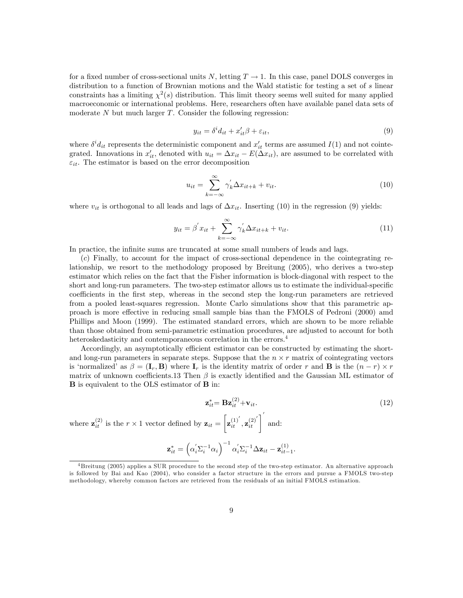for a fixed number of cross-sectional units N, letting  $T \to 1$ . In this case, panel DOLS converges in distribution to a function of Brownian motions and the Wald statistic for testing a set of s linear constraints has a limiting  $\chi^2(s)$  distribution. This limit theory seems well suited for many applied macroeconomic or international problems. Here, researchers often have available panel data sets of moderate  $N$  but much larger  $T$ . Consider the following regression:

$$
y_{it} = \delta^i d_{it} + x'_{it}\beta + \varepsilon_{it},\tag{9}
$$

where  $\delta^i d_{it}$  represents the deterministic component and  $x'_{it}$  terms are assumed  $I(1)$  and not cointegrated. Innovations in  $x'_{it}$ , denoted with  $u_{it} = \Delta x_{it} - E(\Delta x_{it})$ , are assumed to be correlated with  $\varepsilon_{it}$ . The estimator is based on the error decomposition

$$
u_{it} = \sum_{k=-\infty}^{\infty} \gamma_k' \Delta x_{it+k} + v_{it}.
$$
 (10)

where  $v_{it}$  is orthogonal to all leads and lags of  $\Delta x_{it}$ . Inserting (10) in the regression (9) yields:

$$
y_{it} = \beta' x_{it} + \sum_{k=-\infty}^{\infty} \gamma_k' \Delta x_{it+k} + v_{it}.
$$
 (11)

In practice, the infinite sums are truncated at some small numbers of leads and lags.

(c) Finally, to account for the impact of cross-sectional dependence in the cointegrating relationship, we resort to the methodology proposed by Breitung (2005), who derives a two-step estimator which relies on the fact that the Fisher information is block-diagonal with respect to the short and long-run parameters. The two-step estimator allows us to estimate the individual-specific coefficients in the first step, whereas in the second step the long-run parameters are retrieved from a pooled least-squares regression. Monte Carlo simulations show that this parametric approach is more effective in reducing small sample bias than the FMOLS of Pedroni (2000) amd Phillips and Moon (1999). The estimated standard errors, which are shown to be more reliable than those obtained from semi-parametric estimation procedures, are adjusted to account for both heteroskedasticity and contemporaneous correlation in the errors.<sup>4</sup>

Accordingly, an asymptotically efficient estimator can be constructed by estimating the shortand long-run parameters in separate steps. Suppose that the  $n \times r$  matrix of cointegrating vectors is 'normalized' as  $\beta = (\mathbf{I}_r, \mathbf{B})$  where  $\mathbf{I}_r$  is the identity matrix of order r and **B** is the  $(n-r) \times r$ matrix of unknown coefficients.13 Then  $\beta$  is exactly identified and the Gaussian ML estimator of B is equivalent to the OLS estimator of B in:

$$
\mathbf{z}_{it}^* = \mathbf{B} \mathbf{z}_{it}^{(2)} + \mathbf{v}_{it}. \tag{12}
$$

where  $\mathbf{z}_{it}^{(2)}$  is the  $r \times 1$  vector defined by  $\mathbf{z}_{it} =$  $\sqrt{ }$  $\left[\mathbf{z}_{it}^{(1)^\prime}, \mathbf{z}_{it}^{(2)^\prime}\right]^\prime$  and:

$$
\mathbf{z}_{it}^* = \left(\alpha_i' \Sigma_i^{-1} \alpha_i\right)^{-1} \alpha_i' \Sigma_i^{-1} \Delta \mathbf{z}_{it} - \mathbf{z}_{it-1}^{(1)}.
$$

<sup>4</sup> Breitung (2005) applies a SUR procedure to the second step of the two-step estimator. An alternative approach is followed by Bai and Kao (2004), who consider a factor structure in the errors and pursue a FMOLS two-step methodology, whereby common factors are retrieved from the residuals of an initial FMOLS estimation.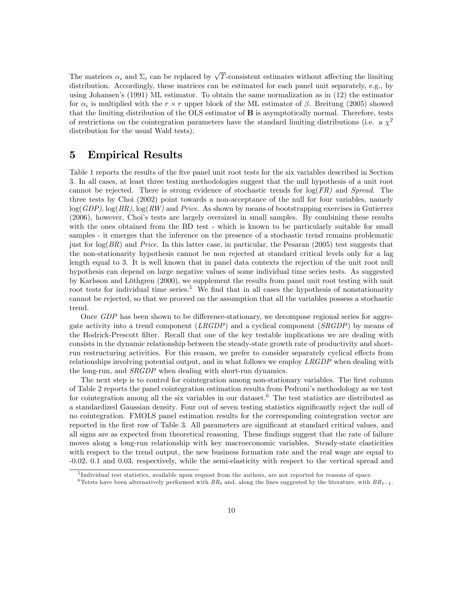The matrices  $\alpha_i$  and  $\Sigma_i$  can be replaced by  $\sqrt{T}$ -consistent estimates without affecting the limiting distribution. Accordingly, these matrices can be estimated for each panel unit separately, e.g., by using Johansenís (1991) ML estimator. To obtain the same normalization as in (12) the estimator for  $\alpha_i$  is multiplied with the  $r \times r$  upper block of the ML estimator of  $\beta$ . Breitung (2005) showed that the limiting distribution of the OLS estimator of B is asymptotically normal. Therefore, tests of restrictions on the cointegration parameters have the standard limiting distributions (i.e. a  $\chi^2$ distribution for the usual Wald tests).

### 5 Empirical Results

Table 1 reports the results of the five panel unit root tests for the six variables described in Section 3. In all cases, at least three testing methodologies suggest that the null hypothesis of a unit root cannot be rejected. There is strong evidence of stochastic trends for  $log(FR)$  and *Spread*. The three tests by Choi (2002) point towards a non-acceptance of the null for four variables, namely  $log(GDP)$ ,  $log(BR)$ ,  $log(RW)$  and *Price.* As shown by means of bootstrapping exercises in Gutierrez (2006), however, Choiís tests are largely oversized in small samples. By combining these results with the ones obtained from the BD test - which is known to be particularly suitable for small samples - it emerges that the inference on the presence of a stochastic trend remains problematic just for  $log(BR)$  and *Price*. In this latter case, in particular, the Pesaran (2005) test suggests that the non-stationarity hypothesis cannot be non rejected at standard critical levels only for a lag length equal to 3. It is well known that in panel data contexts the rejection of the unit root null hypothesis can depend on large negative values of some individual time series tests. As suggested by Karlsson and Löthgren (2000), we supplement the results from panel unit root testing with unit root tests for individual time series.<sup>5</sup> We find that in all cases the hypothesis of nonstationarity cannot be rejected, so that we proceed on the assumption that all the variables possess a stochastic trend.

Once  $GDP$  has been shown to be difference-stationary, we decompose regional series for aggregate activity into a trend component (LRGDP) and a cyclical component (SRGDP) by means of the Hodrick-Prescott Ölter. Recall that one of the key testable implications we are dealing with consists in the dynamic relationship between the steady-state growth rate of productivity and shortrun restructuring activities. For this reason, we prefer to consider separately cyclical effects from relationships involving potential output, and in what follows we employ LRGDP when dealing with the long-run, and SRGDP when dealing with short-run dynamics.

The next step is to control for cointegration among non-stationary variables. The first column of Table 2 reports the panel cointegration estimation results from Pedroniís methodology as we test for cointegration among all the six variables in our dataset.<sup>6</sup> The test statistics are distributed as a standardized Gaussian density. Four out of seven testing statistics significantly reject the null of no cointegration. FMOLS panel estimation results for the corresponding cointegration vector are reported in the first row of Table 3. All parameters are significant at standard critical values, and all signs are as expected from theoretical reasoning. These findings suggest that the rate of failure moves along a long-run relationship with key macroeconomic variables. Steady-state elasticities with respect to the trend output, the new business formation rate and the real wage are equal to -0.02, 0.1 and 0.03, respectively, while the semi-elasticity with respect to the vertical spread and

<sup>&</sup>lt;sup>5</sup>Individual test statistics, available upon request from the authors, are not reported for reasons of space.

<sup>&</sup>lt;sup>6</sup> Tetsts have been alternatively performed with  $BR_t$  and, along the lines suggested by the literature, with  $BR_{t-1}$ .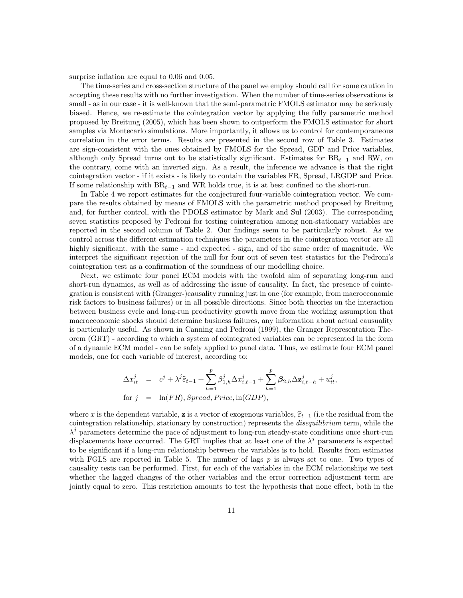surprise inflation are equal to  $0.06$  and  $0.05$ .

The time-series and cross-section structure of the panel we employ should call for some caution in accepting these results with no further investigation. When the number of time-series observations is small - as in our case - it is well-known that the semi-parametric FMOLS estimator may be seriously biased. Hence, we re-estimate the cointegration vector by applying the fully parametric method proposed by Breitung (2005), which has been shown to outperform the FMOLS estimator for short samples via Montecarlo simulations. More importantly, it allows us to control for contemporaneous correlation in the error terms. Results are presented in the second row of Table 3. Estimates are sign-consistent with the ones obtained by FMOLS for the Spread, GDP and Price variables, although only Spread turns out to be statistically significant. Estimates for  $BR_{t-1}$  and RW, on the contrary, come with an inverted sign. As a result, the inference we advance is that the right cointegration vector - if it exists - is likely to contain the variables FR, Spread, LRGDP and Price. If some relationship with  $BR_{t-1}$  and WR holds true, it is at best confined to the short-run.

In Table 4 we report estimates for the conjectured four-variable cointegration vector. We compare the results obtained by means of FMOLS with the parametric method proposed by Breitung and, for further control, with the PDOLS estimator by Mark and Sul (2003). The corresponding seven statistics proposed by Pedroni for testing cointegration among non-stationary variables are reported in the second column of Table 2. Our findings seem to be particularly robust. As we control across the different estimation techniques the parameters in the cointegration vector are all highly significant, with the same - and expected - sign, and of the same order of magnitude. We interpret the significant rejection of the null for four out of seven test statistics for the Pedroni's cointegration test as a confirmation of the soundness of our modelling choice.

Next, we estimate four panel ECM models with the twofold aim of separating long-run and short-run dynamics, as well as of addressing the issue of causality. In fact, the presence of cointegration is consistent with (Granger-)causality running just in one (for example, from macroeconomic risk factors to business failures) or in all possible directions. Since both theories on the interaction between business cycle and long-run productivity growth move from the working assumption that macroeconomic shocks should determine business failures, any information about actual causuality is particularly useful. As shown in Canning and Pedroni (1999), the Granger Representation Theorem (GRT) - according to which a system of cointegrated variables can be represented in the form of a dynamic ECM model - can be safely applied to panel data. Thus, we estimate four ECM panel models, one for each variable of interest, according to:

$$
\Delta x_{it}^j = c^j + \lambda^j \hat{\varepsilon}_{t-1} + \sum_{h=1}^p \beta_{1,h}^j \Delta x_{i,t-1}^j + \sum_{h=1}^p \beta_{2,h} \Delta \mathbf{z}_{i,t-h}^j + u_{it}^j,
$$
  
for  $j = \ln(FR)$ , *Spread*, *Price*,  $\ln(GDP)$ ,

where x is the dependent variable, z is a vector of exogenous variables,  $\hat{\epsilon}_{t-1}$  (i.e the residual from the cointegration relationship, stationary by construction) represents the disequilibrium term, while the  $\lambda^j$  parameters determine the pace of adjustment to long-run steady-state conditions once short-run displacements have occurred. The GRT implies that at least one of the  $\lambda^j$  parameters is expected to be significant if a long-run relationship between the variables is to hold. Results from estimates with FGLS are reported in Table 5. The number of lags  $p$  is always set to one. Two types of causality tests can be performed. First, for each of the variables in the ECM relationships we test whether the lagged changes of the other variables and the error correction adjustment term are jointly equal to zero. This restriction amounts to test the hypothesis that none effect, both in the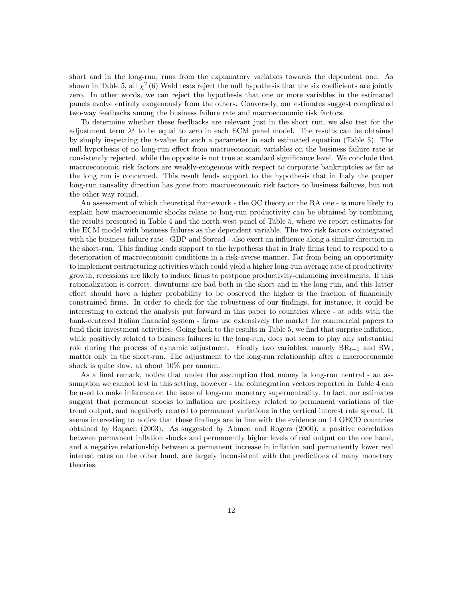short and in the long-run, runs from the explanatory variables towards the dependent one. As shown in Table 5, all  $\chi^2$  (6) Wald tests reject the null hypothesis that the six coefficients are jointly zero. In other words, we can reject the hypothesis that one or more variables in the estimated panels evolve entirely exogenously from the others. Conversely, our estimates suggest complicated two-way feedbacks among the business failure rate and macroeconomic risk factors.

To determine whether these feedbacks are relevant just in the short run, we also test for the adjustment term  $\lambda^j$  to be equal to zero in each ECM panel model. The results can be obtained by simply inspecting the t-value for such a parameter in each estimated equation (Table 5). The null hypothesis of no long-run effect from macroeconomic variables on the business failure rate is consistently rejected, while the opposite is not true at standard significance level. We conclude that macroeconomic risk factors are weakly-exogenous with respect to corporate bankruptcies as far as the long run is concerned. This result lends support to the hypothesis that in Italy the proper long-run causality direction has gone from macroeconomic risk factors to business failures, but not the other way round.

An assessment of which theoretical framework - the OC theory or the RA one - is more likely to explain how macroeconomic shocks relate to long-run productivity can be obtained by combining the results presented in Table 4 and the north-west panel of Table 5, where we report estimates for the ECM model with business failures as the dependent variable. The two risk factors cointegrated with the business failure rate - GDP and Spread - also exert an influence along a similar direction in the short-run. This finding lends support to the hypothesis that in Italy firms tend to respond to a deterioration of macroeconomic conditions in a risk-averse manner. Far from being an opportunity to implement restructuring activities which could yield a higher long-run average rate of productivity growth, recessions are likely to induce firms to postpone productivity-enhancing investments. If this rationalization is correct, downturns are bad both in the short and in the long run, and this latter effect should have a higher probability to be observed the higher is the fraction of financially constrained firms. In order to check for the robustness of our findings, for instance, it could be interesting to extend the analysis put forward in this paper to countries where - at odds with the bank-centered Italian financial system - firms use extensively the market for commercial papers to fund their investment activities. Going back to the results in Table 5, we find that surprise inflation, while positively related to business failures in the long-run, does not seem to play any substantial role during the process of dynamic adjustment. Finally two variables, namely  $BR_{t-1}$  and RW, matter only in the short-run. The adjustment to the long-run relationship after a macroeconomic shock is quite slow, at about 10% per annum.

As a final remark, notice that under the assumption that money is long-run neutral - an assumption we cannot test in this setting, however - the cointegration vectors reported in Table 4 can be used to make inference on the issue of long-run monetary superneutrality. In fact, our estimates suggest that permanent shocks to inflation are positively related to permanent variations of the trend output, and negatively related to permanent variations in the vertical interest rate spread. It seems interesting to notice that these findings are in line with the evidence on 14 OECD countries obtained by Rapach (2003). As suggested by Ahmed and Rogers (2000), a positive correlation between permanent inflation shocks and permanently higher levels of real output on the one hand, and a negative relationship between a permanent increase in inflation and permanently lower real interest rates on the other hand, are largely inconsistent with the predictions of many monetary theories.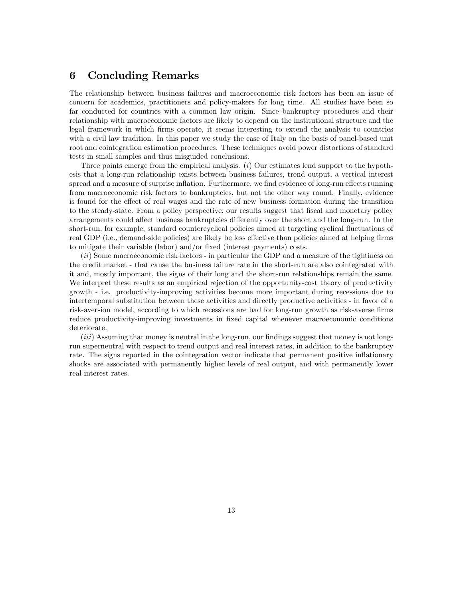### 6 Concluding Remarks

The relationship between business failures and macroeconomic risk factors has been an issue of concern for academics, practitioners and policy-makers for long time. All studies have been so far conducted for countries with a common law origin. Since bankruptcy procedures and their relationship with macroeconomic factors are likely to depend on the institutional structure and the legal framework in which Örms operate, it seems interesting to extend the analysis to countries with a civil law tradition. In this paper we study the case of Italy on the basis of panel-based unit root and cointegration estimation procedures. These techniques avoid power distortions of standard tests in small samples and thus misguided conclusions.

Three points emerge from the empirical analysis. (i) Our estimates lend support to the hypothesis that a long-run relationship exists between business failures, trend output, a vertical interest spread and a measure of surprise inflation. Furthermore, we find evidence of long-run effects running from macroeconomic risk factors to bankruptcies, but not the other way round. Finally, evidence is found for the effect of real wages and the rate of new business formation during the transition to the steady-state. From a policy perspective, our results suggest that Öscal and monetary policy arrangements could affect business bankruptcies differently over the short and the long-run. In the short-run, for example, standard countercyclical policies aimed at targeting cyclical fluctuations of real GDP (i.e., demand-side policies) are likely be less effective than policies aimed at helping firms to mitigate their variable (labor) and/or Öxed (interest payments) costs.

(ii) Some macroeconomic risk factors - in particular the GDP and a measure of the tightiness on the credit market - that cause the business failure rate in the short-run are also cointegrated with it and, mostly important, the signs of their long and the short-run relationships remain the same. We interpret these results as an empirical rejection of the opportunity-cost theory of productivity growth - i.e. productivity-improving activities become more important during recessions due to intertemporal substitution between these activities and directly productive activities - in favor of a risk-aversion model, according to which recessions are bad for long-run growth as risk-averse firms reduce productivity-improving investments in fixed capital whenever macroeconomic conditions deteriorate.

 $(iii)$  Assuming that money is neutral in the long-run, our findings suggest that money is not longrun superneutral with respect to trend output and real interest rates, in addition to the bankruptcy rate. The signs reported in the cointegration vector indicate that permanent positive inflationary shocks are associated with permanently higher levels of real output, and with permanently lower real interest rates.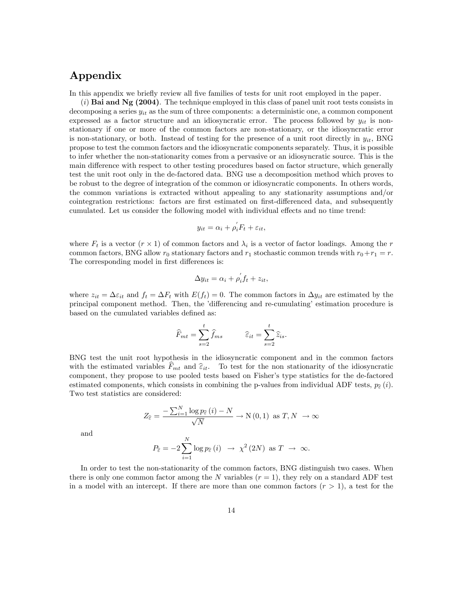# Appendix

In this appendix we briefly review all five families of tests for unit root employed in the paper.

 $(i)$  Bai and Ng (2004). The technique employed in this class of panel unit root tests consists in decomposing a series  $y_{it}$  as the sum of three components: a deterministic one, a common component expressed as a factor structure and an idiosyncratic error. The process followed by  $y_{it}$  is nonstationary if one or more of the common factors are non-stationary, or the idiosyncratic error is non-stationary, or both. Instead of testing for the presence of a unit root directly in  $y_{it}$ , BNG propose to test the common factors and the idiosyncratic components separately. Thus, it is possible to infer whether the non-stationarity comes from a pervasive or an idiosyncratic source. This is the main difference with respect to other testing procedures based on factor structure, which generally test the unit root only in the de-factored data. BNG use a decomposition method which proves to be robust to the degree of integration of the common or idiosyncratic components. In others words, the common variations is extracted without appealing to any stationarity assumptions and/or cointegration restrictions: factors are first estimated on first-differenced data, and subsequently cumulated. Let us consider the following model with individual effects and no time trend:

$$
y_{it} = \alpha_i + \rho_i' F_t + \varepsilon_{it},
$$

where  $F_t$  is a vector  $(r \times 1)$  of common factors and  $\lambda_i$  is a vector of factor loadings. Among the r common factors, BNG allow  $r_0$  stationary factors and  $r_1$  stochastic common trends with  $r_0+r_1 = r$ . The corresponding model in first differences is:

$$
\Delta y_{it} = \alpha_i + \rho_i' f_t + z_{it},
$$

where  $z_{it} = \Delta \varepsilon_{it}$  and  $f_t = \Delta F_t$  with  $E(f_t) = 0$ . The common factors in  $\Delta y_{it}$  are estimated by the principal component method. Then, the 'differencing and re-cumulating' estimation procedure is based on the cumulated variables defined as:

$$
\widehat{F}_{mt} = \sum_{s=2}^{t} \widehat{f}_{ms} \qquad \widehat{\varepsilon}_{it} = \sum_{s=2}^{t} \widehat{z}_{is}.
$$

BNG test the unit root hypothesis in the idiosyncratic component and in the common factors with the estimated variables  $F_{mt}$  and  $\hat{\epsilon}_{it}$ . To test for the non stationarity of the idiosyncratic component, they propose to use pooled tests based on Fisherís type statistics for the de-factored estimated components, which consists in combining the p-values from individual ADF tests,  $p_{\hat{\varepsilon}}(i)$ . Two test statistics are considered:

$$
Z_{\widehat{\epsilon}} = \frac{-\sum_{i=1}^{N} \log p_{\widehat{\epsilon}}(i) - N}{\sqrt{N}} \to N(0, 1) \text{ as } T, N \to \infty
$$

and

$$
P_{\hat{\varepsilon}} = -2 \sum_{i=1}^{N} \log p_{\hat{\varepsilon}}(i) \rightarrow \chi^2(2N) \text{ as } T \rightarrow \infty.
$$

In order to test the non-stationarity of the common factors, BNG distinguish two cases. When there is only one common factor among the N variables  $(r = 1)$ , they rely on a standard ADF test in a model with an intercept. If there are more than one common factors  $(r > 1)$ , a test for the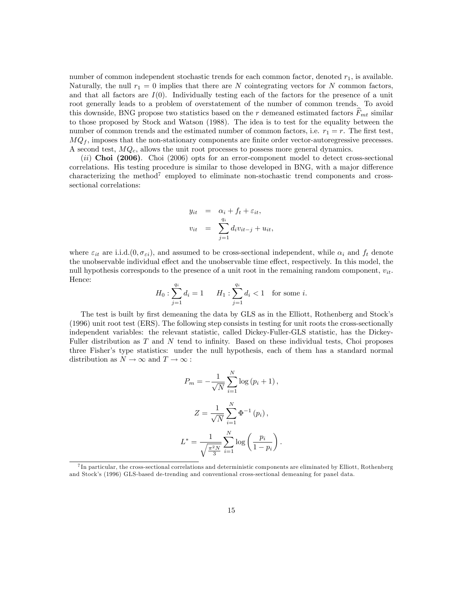number of common independent stochastic trends for each common factor, denoted  $r_1$ , is available. Naturally, the null  $r_1 = 0$  implies that there are N cointegrating vectors for N common factors, and that all factors are  $I(0)$ . Individually testing each of the factors for the presence of a unit root generally leads to a problem of overstatement of the number of common trends. To avoid this downside, BNG propose two statistics based on the r demeaned estimated factors  $F_{mt}$  similar to those proposed by Stock and Watson (1988). The idea is to test for the equality between the number of common trends and the estimated number of common factors, i.e.  $r_1 = r$ . The first test,  $MQ_f$ , imposes that the non-stationary components are finite order vector-autoregressive precesses. A second test,  $MQ<sub>c</sub>$ , allows the unit root processes to possess more general dynamics.

(ii) Choi (2006). Choi (2006) opts for an error-component model to detect cross-sectional correlations. His testing procedure is similar to those developed in BNG, with a major difference characterizing the method<sup>7</sup> employed to eliminate non-stochastic trend components and crosssectional correlations:

$$
y_{it} = \alpha_i + f_t + \varepsilon_{it},
$$
  

$$
v_{it} = \sum_{j=1}^{q_i} d_i v_{it-j} + u_{it},
$$

where  $\varepsilon_{it}$  are i.i.d. $(0, \sigma_{\varepsilon i})$ , and assumed to be cross-sectional independent, while  $\alpha_i$  and  $f_t$  denote the unobservable individual effect and the unobservable time effect, respectively. In this model, the null hypothesis corresponds to the presence of a unit root in the remaining random component,  $v_{it}$ . Hence:

$$
H_0: \sum_{j=1}^{q_i} d_i = 1 \qquad H_1: \sum_{j=1}^{q_i} d_i < 1 \quad \text{for some } i.
$$

The test is built by first demeaning the data by GLS as in the Elliott, Rothenberg and Stock's (1996) unit root test (ERS). The following step consists in testing for unit roots the cross-sectionally independent variables: the relevant statistic, called Dickey-Fuller-GLS statistic, has the Dickey-Fuller distribution as  $T$  and  $N$  tend to infinity. Based on these individual tests, Choi proposes three Fisher's type statistics: under the null hypothesis, each of them has a standard normal distribution as  $N \to \infty$  and  $T \to \infty$ :

$$
P_m = -\frac{1}{\sqrt{N}} \sum_{i=1}^{N} \log (p_i + 1),
$$

$$
Z = \frac{1}{\sqrt{N}} \sum_{i=1}^{N} \Phi^{-1}(p_i),
$$

$$
L^* = \frac{1}{\sqrt{\frac{\pi^2 N}{3}}} \sum_{i=1}^{N} \log \left(\frac{p_i}{1 - p_i}\right).
$$

<sup>7</sup> In particular, the cross-sectional correlations and deterministic components are eliminated by Elliott, Rothenberg and Stock's (1996) GLS-based de-trending and conventional cross-sectional demeaning for panel data.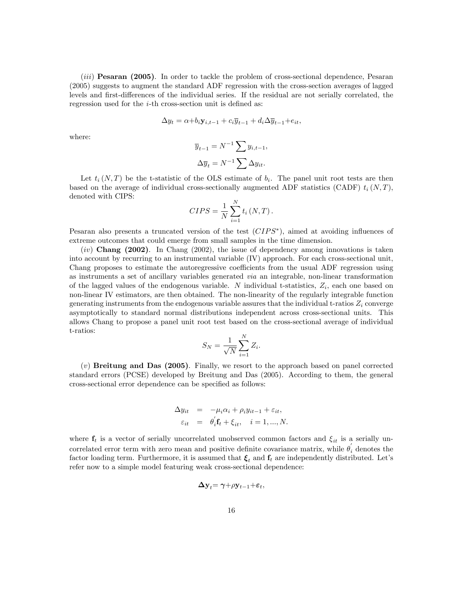(*iii*) **Pesaran (2005**). In order to tackle the problem of cross-sectional dependence, Pesaran (2005) suggests to augment the standard ADF regression with the cross-section averages of lagged levels and first-differences of the individual series. If the residual are not serially correlated, the regression used for the  $i$ -th cross-section unit is defined as:

$$
\Delta y_t = \alpha + b_i \mathbf{y}_{i,t-1} + c_i \overline{y}_{t-1} + d_i \Delta \overline{y}_{t-1} + e_{it},
$$

where:

$$
\overline{y}_{t-1} = N^{-1} \sum y_{i,t-1},
$$

$$
\Delta \overline{y}_t = N^{-1} \sum \Delta y_{it}.
$$

Let  $t_i(N,T)$  be the t-statistic of the OLS estimate of  $b_i$ . The panel unit root tests are then based on the average of individual cross-sectionally augmented ADF statistics (CADF)  $t_i(N,T)$ , denoted with CIPS:

$$
CIPS = \frac{1}{N} \sum_{i=1}^{N} t_i (N, T).
$$

Pesaran also presents a truncated version of the test  $(CIPS^*)$ , aimed at avoiding influences of extreme outcomes that could emerge from small samples in the time dimension.

 $(iv)$  Chang  $(2002)$ . In Chang  $(2002)$ , the issue of dependency among innovations is taken into account by recurring to an instrumental variable (IV) approach. For each cross-sectional unit, Chang proposes to estimate the autoregressive coefficients from the usual ADF regression using as instruments a set of ancillary variables generated via an integrable, non-linear transformation of the lagged values of the endogenous variable. N individual t-statistics,  $Z_i$ , each one based on non-linear IV estimators, are then obtained. The non-linearity of the regularly integrable function generating instruments from the endogenous variable assures that the individual t-ratios  $Z_i$  converge asymptotically to standard normal distributions independent across cross-sectional units. This allows Chang to propose a panel unit root test based on the cross-sectional average of individual t-ratios:

$$
S_N = \frac{1}{\sqrt{N}} \sum_{i=1}^N Z_i.
$$

(v) Breitung and Das (2005). Finally, we resort to the approach based on panel corrected standard errors (PCSE) developed by Breitung and Das (2005). According to them, the general cross-sectional error dependence can be specified as follows:

$$
\Delta y_{it} = -\mu_i \alpha_i + \rho_i y_{it-1} + \varepsilon_{it},
$$
  
\n
$$
\varepsilon_{it} = \theta_i' \mathbf{f}_t + \xi_{it}, \quad i = 1, ..., N.
$$

where  $f_t$  is a vector of serially uncorrelated unobserved common factors and  $\xi_{it}$  is a serially uncorrelated error term with zero mean and positive definite covariance matrix, while  $\theta_i$  denotes the factor loading term. Furthermore, it is assumed that  $\xi_t$  and  $f_t$  are independently distributed. Let's refer now to a simple model featuring weak cross-sectional dependence:

$$
\Delta \mathbf{y}_t = \gamma + \rho \mathbf{y}_{t-1} + \varepsilon_t,
$$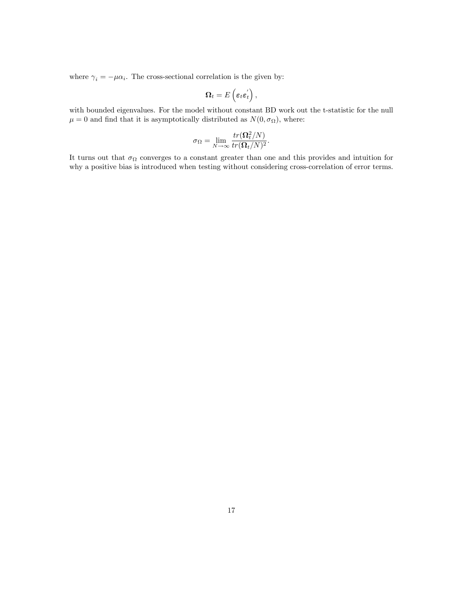where  $\gamma_i = -\mu \alpha_i$ . The cross-sectional correlation is the given by:

$$
\mathbf{\Omega}_t = E\left(\boldsymbol{\varepsilon}_t \boldsymbol{\varepsilon}_t^\prime\right),
$$

with bounded eigenvalues. For the model without constant BD work out the t-statistic for the null  $\mu = 0$  and find that it is asymptotically distributed as  $N(0, \sigma_{\Omega})$ , where:

$$
\sigma_{\Omega} = \lim_{N \to \infty} \frac{tr(\Omega_t^2/N)}{tr(\Omega_t/N)^2}.
$$

It turns out that  $\sigma_{\Omega}$  converges to a constant greater than one and this provides and intuition for why a positive bias is introduced when testing without considering cross-correlation of error terms.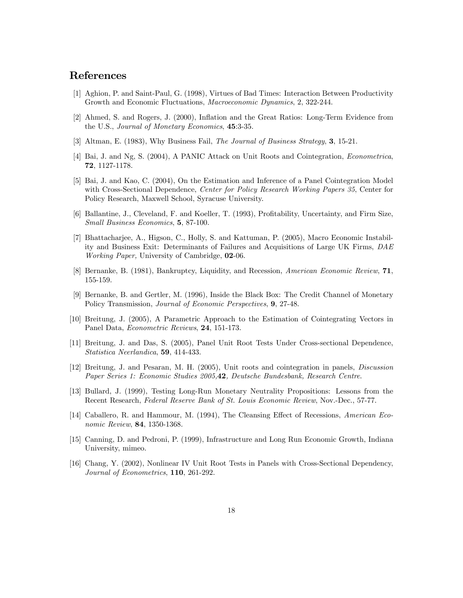# References

- [1] Aghion, P. and Saint-Paul, G. (1998), Virtues of Bad Times: Interaction Between Productivity Growth and Economic Fluctuations, Macroeconomic Dynamics, 2, 322-244.
- [2] Ahmed, S. and Rogers, J. (2000), Ináation and the Great Ratios: Long-Term Evidence from the U.S., Journal of Monetary Economics, 45:3-35.
- [3] Altman, E. (1983), Why Business Fail, The Journal of Business Strategy, 3, 15-21.
- [4] Bai, J. and Ng, S. (2004), A PANIC Attack on Unit Roots and Cointegration, Econometrica, 72, 1127-1178.
- [5] Bai, J. and Kao, C. (2004), On the Estimation and Inference of a Panel Cointegration Model with Cross-Sectional Dependence, Center for Policy Research Working Papers 35, Center for Policy Research, Maxwell School, Syracuse University.
- [6] Ballantine, J., Cleveland, F. and Koeller, T. (1993), Profitability, Uncertainty, and Firm Size, Small Business Economics, 5, 87-100.
- [7] Bhattacharjee, A., Higson, C., Holly, S. and Kattuman, P. (2005), Macro Economic Instability and Business Exit: Determinants of Failures and Acquisitions of Large UK Firms, DAE Working Paper, University of Cambridge, 02-06.
- [8] Bernanke, B. (1981), Bankruptcy, Liquidity, and Recession, American Economic Review, 71, 155-159.
- [9] Bernanke, B. and Gertler, M. (1996), Inside the Black Box: The Credit Channel of Monetary Policy Transmission, Journal of Economic Perspectives, 9, 27-48.
- [10] Breitung, J. (2005), A Parametric Approach to the Estimation of Cointegrating Vectors in Panel Data, Econometric Reviews, 24, 151-173.
- [11] Breitung, J. and Das, S. (2005), Panel Unit Root Tests Under Cross-sectional Dependence, Statistica Neerlandica, 59, 414-433.
- [12] Breitung, J. and Pesaran, M. H. (2005), Unit roots and cointegration in panels, Discussion Paper Series 1: Economic Studies 2005,42, Deutsche Bundesbank, Research Centre.
- [13] Bullard, J. (1999), Testing Long-Run Monetary Neutrality Propositions: Lessons from the Recent Research, Federal Reserve Bank of St. Louis Economic Review, Nov.-Dec., 57-77.
- [14] Caballero, R. and Hammour, M. (1994), The Cleansing Effect of Recessions, American Economic Review, 84, 1350-1368.
- [15] Canning, D. and Pedroni, P. (1999), Infrastructure and Long Run Economic Growth, Indiana University, mimeo.
- [16] Chang, Y. (2002), Nonlinear IV Unit Root Tests in Panels with Cross-Sectional Dependency, Journal of Econometrics, 110, 261-292.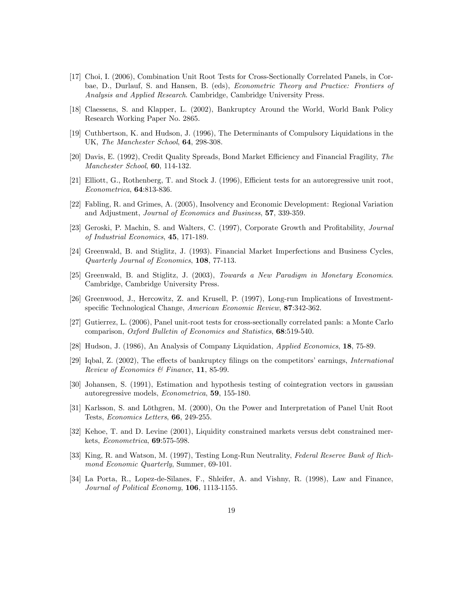- [17] Choi, I. (2006), Combination Unit Root Tests for Cross-Sectionally Correlated Panels, in Corbae, D., Durlauf, S. and Hansen, B. (eds), Econometric Theory and Practice: Frontiers of Analysis and Applied Research. Cambridge, Cambridge University Press.
- [18] Claessens, S. and Klapper, L. (2002), Bankruptcy Around the World, World Bank Policy Research Working Paper No. 2865.
- [19] Cuthbertson, K. and Hudson, J. (1996), The Determinants of Compulsory Liquidations in the UK, The Manchester School, 64, 298-308.
- [20] Davis, E. (1992), Credit Quality Spreads, Bond Market Efficiency and Financial Fragility, The Manchester School, 60, 114-132.
- [21] Elliott, G., Rothenberg, T. and Stock J. (1996), Efficient tests for an autoregressive unit root, Econometrica, 64:813-836.
- [22] Fabling, R. and Grimes, A. (2005), Insolvency and Economic Development: Regional Variation and Adjustment, Journal of Economics and Business, 57, 339-359.
- [23] Geroski, P. Machin, S. and Walters, C. (1997), Corporate Growth and Profitability, *Journal* of Industrial Economics, 45, 171-189.
- [24] Greenwald, B. and Stiglitz, J. (1993). Financial Market Imperfections and Business Cycles, Quarterly Journal of Economics, 108, 77-113.
- [25] Greenwald, B. and Stiglitz, J. (2003), Towards a New Paradigm in Monetary Economics. Cambridge, Cambridge University Press.
- [26] Greenwood, J., Hercowitz, Z. and Krusell, P. (1997), Long-run Implications of Investmentspecific Technological Change, American Economic Review, 87:342-362.
- [27] Gutierrez, L. (2006), Panel unit-root tests for cross-sectionally correlated panls: a Monte Carlo comparison, Oxford Bulletin of Economics and Statistics, 68:519-540.
- [28] Hudson, J. (1986), An Analysis of Company Liquidation, Applied Economics, 18, 75-89.
- [29] Iqbal, Z. (2002), The effects of bankruptcy filings on the competitors' earnings, International Review of Economics & Finance, 11, 85-99.
- [30] Johansen, S. (1991), Estimation and hypothesis testing of cointegration vectors in gaussian autoregressive models, Econometrica, 59, 155-180.
- [31] Karlsson, S. and Löthgren, M. (2000), On the Power and Interpretation of Panel Unit Root Tests, Economics Letters, 66, 249-255.
- [32] Kehoe, T. and D. Levine (2001), Liquidity constrained markets versus debt constrained merkets, Econometrica, 69:575-598.
- [33] King, R. and Watson, M. (1997), Testing Long-Run Neutrality, Federal Reserve Bank of Richmond Economic Quarterly, Summer, 69-101.
- [34] La Porta, R., Lopez-de-Silanes, F., Shleifer, A. and Vishny, R. (1998), Law and Finance, Journal of Political Economy, 106, 1113-1155.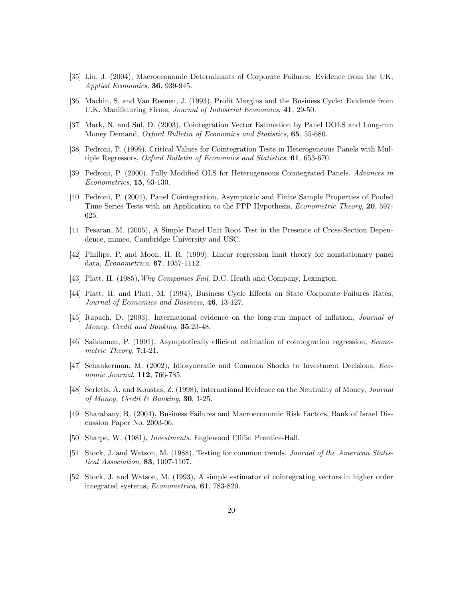- [35] Liu, J. (2004), Macroeconomic Determinants of Corporate Failures: Evidence from the UK, Applied Economics, 36, 939-945.
- [36] Machin, S. and Van Reenen, J. (1993), Profit Margins and the Business Cycle: Evidence from U.K. Manifaturing Firms, Journal of Industrial Economics, 41, 29-50.
- [37] Mark, N. and Sul, D. (2003), Cointegration Vector Estimation by Panel DOLS and Long-run Money Demand, Oxford Bulletin of Economics and Statistics, 65, 55-680.
- [38] Pedroni, P. (1999), Critical Values for Cointegration Tests in Heterogeneous Panels with Multiple Regressors, Oxford Bulletin of Economics and Statistics, 61, 653-670.
- [39] Pedroni, P. (2000). Fully Modified OLS for Heterogeneous Cointegrated Panels. Advances in Econometrics, 15, 93-130.
- [40] Pedroni, P. (2004), Panel Cointegration, Asymptotic and Finite Sample Properties of Pooled Time Series Tests with an Application to the PPP Hypothesis, Econometric Theory, 20, 597- 625.
- [41] Pesaran, M. (2005), A Simple Panel Unit Root Test in the Presence of Cross-Section Dependence, mimeo, Cambridge University and USC.
- [42] Phillips, P. and Moon, H. R. (1999). Linear regression limit theory for nonstationary panel data, Econometrica, 67, 1057-1112.
- [43] Platt, H. (1985),Why Companies Fail. D.C. Heath and Company, Lexington.
- [44] Platt, H. and Platt, M. (1994), Business Cycle Effects on State Corporate Failures Rates, Journal of Economics and Business, 46, 13-127.
- [45] Rapach, D. (2003), International evidence on the long-run impact of ináation, Journal of Money, Credit and Banking, 35:23-48.
- [46] Saikkonen, P. (1991), Asymptotically efficient estimation of cointegration regression, *Econo*metric Theory, **7**:1-21.
- [47] Schankerman, M. (2002), Idiosyncratic and Common Shocks to Investment Decisions, Economic Journal, 112, 766-785.
- [48] Serletis, A. and Koustas, Z. (1998), International Evidence on the Neutrality of Money, Journal of Money, Credit & Banking, 30, 1-25.
- [49] Sharabany, R. (2004), Business Failures and Macroeconomic Risk Factors, Bank of Israel Discussion Paper No. 2003-06.
- [50] Sharpe, W. (1981), *Investments*. Englewood Cliffs: Prentice-Hall.
- [51] Stock, J. and Watson, M. (1988), Testing for common trends, Journal of the American Statistical Association, 83, 1097-1107.
- [52] Stock, J. and Watson, M. (1993), A simple estimator of cointegrating vectors in higher order integrated systems, Econometrica, 61, 783-820.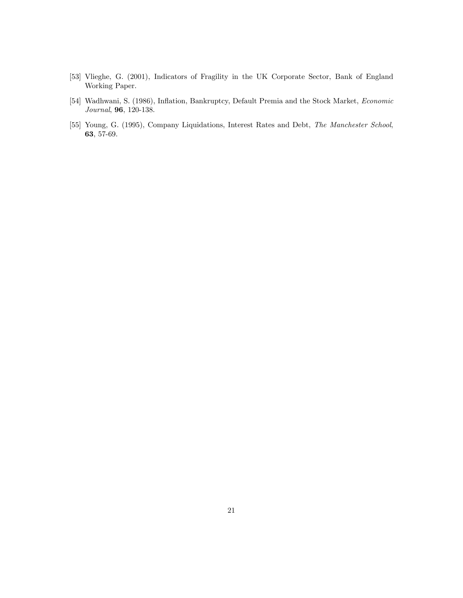- [53] Vlieghe, G. (2001), Indicators of Fragility in the UK Corporate Sector, Bank of England Working Paper.
- [54] Wadhwani, S. (1986), Inflation, Bankruptcy, Default Premia and the Stock Market, Economic Journal, 96, 120-138.
- [55] Young, G. (1995), Company Liquidations, Interest Rates and Debt, The Manchester School, 63, 57-69.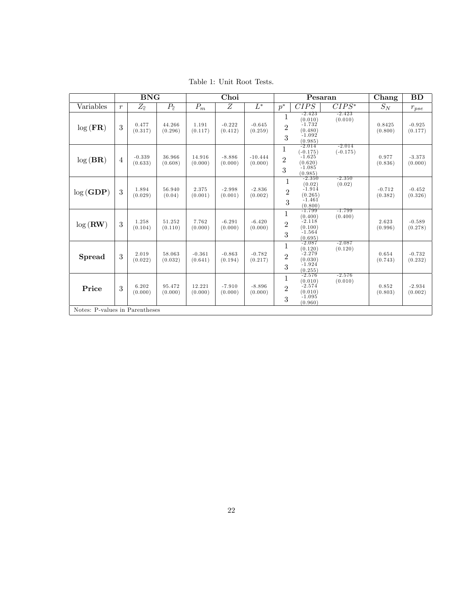|                                | BNG            |                             |                             | Choi                |                     | Pesaran              |                                     | Chang                                                                                                                | BD                     |                     |                     |
|--------------------------------|----------------|-----------------------------|-----------------------------|---------------------|---------------------|----------------------|-------------------------------------|----------------------------------------------------------------------------------------------------------------------|------------------------|---------------------|---------------------|
| Variables                      | $\mathcal{r}$  | $Z_{\widehat{\varepsilon}}$ | $P_{\widehat{\varepsilon}}$ | $P_m$               | Z                   | $L^*$                | $p^*$                               | CIPS                                                                                                                 | $CIPS^*$               | $S_N$               | $r_{pse}$           |
| $\log$ (FR)                    | 3              | 0.477<br>(0.317)            | 44.266<br>(0.296)           | 1.191<br>(0.117)    | $-0.222$<br>(0.412) | $-0.645$<br>(0.259)  | $\mathbf 1$<br>$\overline{2}$<br>3  | $-2.423$<br>(0.010)<br>$-1.732$<br>(0.480)<br>$-1.092$<br>(0.985)                                                    | $-2.423$<br>(0.010)    | 0.8425<br>(0.800)   | $-0.925$<br>(0.177) |
| log(BR)                        | $\overline{4}$ | $-0.339$<br>(0.633)         | 36.966<br>(0.608)           | 14.916<br>(0.000)   | $-8.886$<br>(0.000) | $-10.444$<br>(0.000) | 1<br>$\overline{2}$<br>3            | $-2.014$<br>$(-0.175)$<br>$-1.625$<br>(0.620)<br>$-1.085$<br>(0.985)                                                 | $-2.014$<br>$(-0.175)$ | 0.977<br>(0.836)    | $-3.373$<br>(0.000) |
| log(GDP)                       | 3              | 1.894<br>(0.029)            | 56.940<br>(0.04)            | 2.375<br>(0.001)    | $-2.998$<br>(0.001) | $-2.836$<br>(0.002)  | $\mathbf{1}$<br>$\overline{2}$<br>3 | $-2.350$<br>(0.02)<br>$-1.914$<br>(0.265)<br>$-1.461$<br>(0.800)                                                     | $-2.350$<br>(0.02)     | $-0.712$<br>(0.382) | $-0.452$<br>(0.326) |
| log(RW)                        | 3              | 1.258<br>(0.104)            | 51.252<br>(0.110)           | 7.762<br>(0.000)    | $-6.291$<br>(0.000) | $-6.420$<br>(0.000)  | 1<br>$\sqrt{2}$<br>3                | $-1.799$<br>(0.400)<br>$-2.118$<br>(0.100)<br>$-1.564$<br>(0.695)                                                    | $-1.799$<br>(0.400)    | 2.623<br>(0.996)    | $-0.589$<br>(0.278) |
| <b>Spread</b>                  | 3              | 2.019<br>(0.022)            | 58.063<br>(0.032)           | $-0.361$<br>(0.641) | $-0.863$<br>(0.194) | $-0.782$<br>(0.217)  | 1<br>$\overline{2}$<br>3            | $-2.087$<br>(0.120)<br>$-2.279$<br>(0.030)<br>$-1.924$<br>(0.255)                                                    | $-2.087$<br>(0.120)    | 0.654<br>(0.743)    | $-0.732$<br>(0.232) |
| Price                          | 3              | 6.202<br>(0.000)            | 95.472<br>(0.000)           | 12.221<br>(0.000)   | $-7.910$<br>(0.000) | $-8.896$<br>(0.000)  | 1<br>$\overline{2}$<br>3            | $-2.576$<br>(0.010)<br>$-2.574$<br>$\left( \begin{smallmatrix} 0.010 \\ -1.095 \end{smallmatrix} \right)$<br>(0.960) | $-2.576$<br>(0.010)    | 0.852<br>(0.803)    | $-2.934$<br>(0.002) |
| Notes: P-values in Parentheses |                |                             |                             |                     |                     |                      |                                     |                                                                                                                      |                        |                     |                     |

Table 1: Unit Root Tests.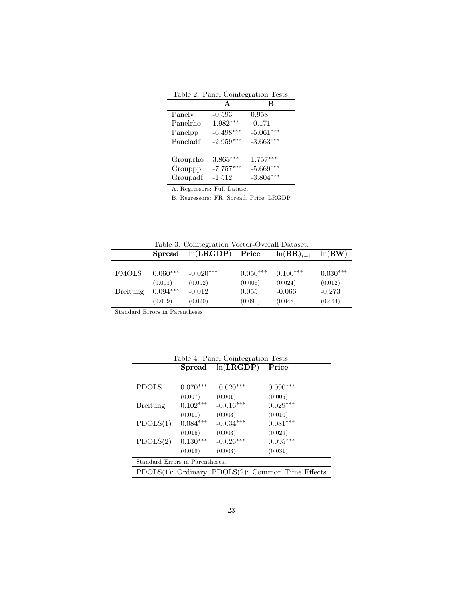|          | A                           | в                                       |
|----------|-----------------------------|-----------------------------------------|
| Panely   | $-0.593$                    | 0.958                                   |
| Panelrho | $1.982***$                  | $-0.171$                                |
| Panelpp  | $-6.498***$                 | $-5.061***$                             |
| Paneladf | $-2.959***$                 | $-3.663***$                             |
| Grouprho | $3.865***$                  | $1.757***$                              |
| Grouppp  | $-7.757***$                 | $-5.669***$                             |
| Groupadf | $-1.512$                    | $-3.804***$                             |
|          | A. Regressors: Full Dataset |                                         |
|          |                             | B. Regressors: FR, Spread, Price, LRGDP |

Table 3: Cointegration Vector-Overall Dataset.

|                                | Spread     | ln(LRGDP)   | Price      | $ln(BR)_{t-1}$ | ln(RW)     |  |
|--------------------------------|------------|-------------|------------|----------------|------------|--|
|                                |            |             |            |                |            |  |
| <b>FMOLS</b>                   | $0.060***$ | $-0.020***$ | $0.050***$ | $0.100***$     | $0.030***$ |  |
|                                | (0.001)    | (0.002)     | (0.006)    | (0.024)        | (0.012)    |  |
| <b>Breitung</b>                | $0.094***$ | $-0.012$    | 0.055      | $-0.066$       | $-0.273$   |  |
|                                | (0.009)    | (0.020)     | (0.090)    | (0.048)        | (0.464)    |  |
| Standard Errors in Parentheses |            |             |            |                |            |  |

| Table 4: Panel Cointegration Tests.<br>ln(LRGDP)<br>Price             |            |             |            |  |  |  |
|-----------------------------------------------------------------------|------------|-------------|------------|--|--|--|
|                                                                       | Spread     |             |            |  |  |  |
|                                                                       |            |             |            |  |  |  |
| <b>PDOLS</b>                                                          | $0.070***$ | $-0.020***$ | $0.090***$ |  |  |  |
|                                                                       | (0.007)    | (0.001)     | (0.005)    |  |  |  |
| Breitung                                                              | $0.102***$ | $-0.016***$ | $0.029***$ |  |  |  |
|                                                                       | (0.011)    | (0.003)     | (0.010)    |  |  |  |
| $\text{PDOLS}(1)$                                                     | $0.084***$ | $-0.034***$ | $0.081***$ |  |  |  |
|                                                                       | (0.016)    | (0.003)     | (0.029)    |  |  |  |
| $\text{PDOLS}(2)$                                                     | $0.130***$ | $-0.026***$ | $0.095***$ |  |  |  |
|                                                                       | (0.019)    | (0.003)     | (0.031)    |  |  |  |
| Standard Errors in Parentheses.                                       |            |             |            |  |  |  |
| $\text{PDOLS}(1)$ : Ordinary; $\text{PDOLS}(2)$ : Common Time Effects |            |             |            |  |  |  |